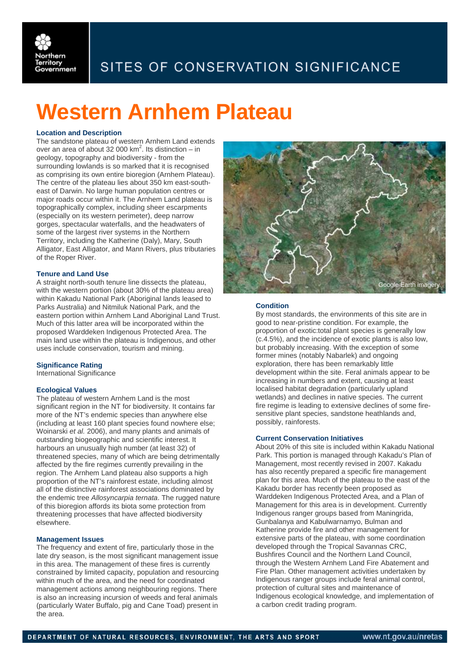

## SITES OF CONSERVATION SIGNIFICANCE

# **Western Arnhem Plateau**

#### **Location and Description**

The sandstone plateau of western Arnhem Land extends over an area of about 32 000  $km^2$ . Its distinction – in geology, topography and biodiversity - from the surrounding lowlands is so marked that it is recognised as comprising its own entire bioregion (Arnhem Plateau). The centre of the plateau lies about 350 km east-southeast of Darwin. No large human population centres or major roads occur within it. The Arnhem Land plateau is topographically complex, including sheer escarpments (especially on its western perimeter), deep narrow gorges, spectacular waterfalls, and the headwaters of some of the largest river systems in the Northern Territory, including the Katherine (Daly), Mary, South Alligator, East Alligator, and Mann Rivers, plus tributaries of the Roper River.

#### **Tenure and Land Use**

A straight north-south tenure line dissects the plateau, with the western portion (about 30% of the plateau area) within Kakadu National Park (Aboriginal lands leased to Parks Australia) and Nitmiluk National Park, and the eastern portion within Arnhem Land Aboriginal Land Trust. Much of this latter area will be incorporated within the proposed Warddeken Indigenous Protected Area. The main land use within the plateau is Indigenous, and other uses include conservation, tourism and mining.

#### **Significance Rating**

International Significance

#### **Ecological Values**

The plateau of western Arnhem Land is the most significant region in the NT for biodiversity. It contains far more of the NT's endemic species than anywhere else (including at least 160 plant species found nowhere else; Woinarski *et al.* 2006), and many plants and animals of outstanding biogeographic and scientific interest. It harbours an unusually high number (at least 32) of threatened species, many of which are being detrimentally affected by the fire regimes currently prevailing in the region. The Arnhem Land plateau also supports a high proportion of the NT's rainforest estate, including almost all of the distinctive rainforest associations dominated by the endemic tree *Allosyncarpia ternata*. The rugged nature of this bioregion affords its biota some protection from threatening processes that have affected biodiversity elsewhere.

### **Management Issues**

The frequency and extent of fire, particularly those in the late dry season, is the most significant management issue in this area. The management of these fires is currently constrained by limited capacity, population and resourcing within much of the area, and the need for coordinated management actions among neighbouring regions. There is also an increasing incursion of weeds and feral animals (particularly Water Buffalo, pig and Cane Toad) present in the area.



#### **Condition**

By most standards, the environments of this site are in good to near-pristine condition. For example, the proportion of exotic:total plant species is generally low (c.4.5%), and the incidence of exotic plants is also low, but probably increasing. With the exception of some former mines (notably Nabarlek) and ongoing exploration, there has been remarkably little development within the site. Feral animals appear to be increasing in numbers and extent, causing at least localised habitat degradation (particularly upland wetlands) and declines in native species. The current fire regime is leading to extensive declines of some firesensitive plant species, sandstone heathlands and, possibly, rainforests.

#### **Current Conservation Initiatives**

About 20% of this site is included within Kakadu National Park. This portion is managed through Kakadu's Plan of Management, most recently revised in 2007. Kakadu has also recently prepared a specific fire management plan for this area. Much of the plateau to the east of the Kakadu border has recently been proposed as Warddeken Indigenous Protected Area, and a Plan of Management for this area is in development. Currently Indigenous ranger groups based from Maningrida, Gunbalanya and Kabulwarnamyo, Bulman and Katherine provide fire and other management for extensive parts of the plateau, with some coordination developed through the Tropical Savannas CRC, Bushfires Council and the Northern Land Council, through the Western Arnhem Land Fire Abatement and Fire Plan. Other management activities undertaken by Indigenous ranger groups include feral animal control, protection of cultural sites and maintenance of Indigenous ecological knowledge, and implementation of a carbon credit trading program.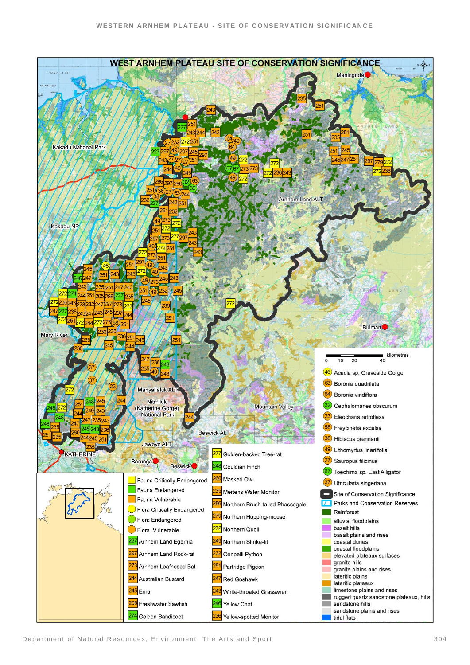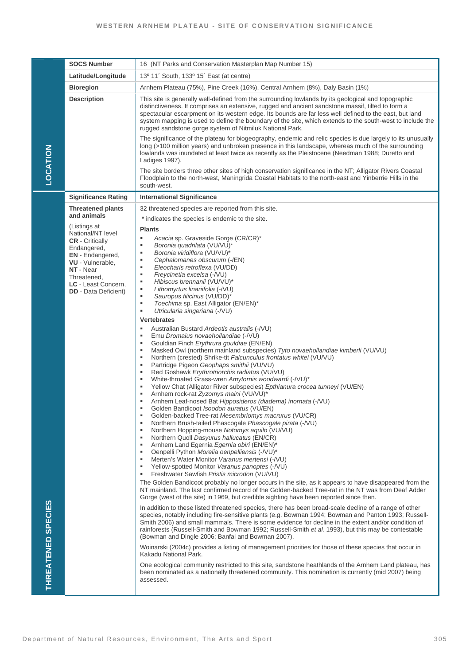|                    | <b>SOCS Number</b>                                 | 16 (NT Parks and Conservation Masterplan Map Number 15)                                                                                                                                                                                                                                                                                                                                                                                                                                     |
|--------------------|----------------------------------------------------|---------------------------------------------------------------------------------------------------------------------------------------------------------------------------------------------------------------------------------------------------------------------------------------------------------------------------------------------------------------------------------------------------------------------------------------------------------------------------------------------|
| <b>LOCATION</b>    | Latitude/Longitude                                 | 13º 11' South, 133º 15' East (at centre)                                                                                                                                                                                                                                                                                                                                                                                                                                                    |
|                    | <b>Bioregion</b>                                   | Arnhem Plateau (75%), Pine Creek (16%), Central Arnhem (8%), Daly Basin (1%)                                                                                                                                                                                                                                                                                                                                                                                                                |
|                    | <b>Description</b>                                 | This site is generally well-defined from the surrounding lowlands by its geological and topographic<br>distinctiveness. It comprises an extensive, rugged and ancient sandstone massif, tilted to form a<br>spectacular escarpment on its western edge. Its bounds are far less well defined to the east, but land<br>system mapping is used to define the boundary of the site, which extends to the south-west to include the<br>rugged sandstone gorge system of Nitmiluk National Park. |
|                    |                                                    | The significance of the plateau for biogeography, endemic and relic species is due largely to its unusually<br>long (>100 million years) and unbroken presence in this landscape, whereas much of the surrounding<br>lowlands was inundated at least twice as recently as the Pleistocene (Needman 1988; Duretto and<br>Ladiges 1997).                                                                                                                                                      |
|                    |                                                    | The site borders three other sites of high conservation significance in the NT; Alligator Rivers Coastal<br>Floodplain to the north-west, Maningrida Coastal Habitats to the north-east and Yinberrie Hills in the<br>south-west.                                                                                                                                                                                                                                                           |
|                    | <b>Significance Rating</b>                         | <b>International Significance</b>                                                                                                                                                                                                                                                                                                                                                                                                                                                           |
|                    | <b>Threatened plants</b>                           | 32 threatened species are reported from this site.                                                                                                                                                                                                                                                                                                                                                                                                                                          |
|                    | and animals                                        | * indicates the species is endemic to the site.                                                                                                                                                                                                                                                                                                                                                                                                                                             |
|                    | (Listings at<br>National/NT level                  | <b>Plants</b>                                                                                                                                                                                                                                                                                                                                                                                                                                                                               |
|                    | <b>CR</b> - Critically<br>Endangered,              | Acacia sp. Graveside Gorge (CR/CR)*<br>٠<br>Boronia quadrilata (VU/VU)*<br>٠                                                                                                                                                                                                                                                                                                                                                                                                                |
|                    | <b>EN</b> - Endangered,                            | Boronia viridiflora (VU/VU)*<br>٠<br>Cephalomanes obscurum (-/EN)<br>٠                                                                                                                                                                                                                                                                                                                                                                                                                      |
|                    | VU - Vulnerable,<br>NT - Near                      | Eleocharis retroflexa (VU/DD)<br>٠                                                                                                                                                                                                                                                                                                                                                                                                                                                          |
|                    | Threatened,                                        | Freycinetia excelsa (-/VU)<br>٠<br>$\blacksquare$<br>Hibiscus brennanii (VU/VU)*                                                                                                                                                                                                                                                                                                                                                                                                            |
|                    | LC - Least Concern,<br><b>DD</b> - Data Deficient) | Lithomyrtus linariifolia (-/VU)<br>$\blacksquare$                                                                                                                                                                                                                                                                                                                                                                                                                                           |
|                    |                                                    | Sauropus filicinus (VU/DD)*<br>٠<br>Toechima sp. East Alligator (EN/EN)*<br>٠                                                                                                                                                                                                                                                                                                                                                                                                               |
|                    |                                                    | Utricularia singeriana (-/VU)<br>٠                                                                                                                                                                                                                                                                                                                                                                                                                                                          |
|                    |                                                    | <b>Vertebrates</b>                                                                                                                                                                                                                                                                                                                                                                                                                                                                          |
|                    |                                                    | Australian Bustard Ardeotis australis (-/VU)<br>٠<br>Emu Dromaius novaehollandiae (-/VU)<br>٠                                                                                                                                                                                                                                                                                                                                                                                               |
|                    |                                                    | Gouldian Finch Erythrura gouldiae (EN/EN)<br>٠                                                                                                                                                                                                                                                                                                                                                                                                                                              |
|                    |                                                    | Masked Owl (northern mainland subspecies) Tyto novaehollandiae kimberli (VU/VU)<br>٠<br>Northern (crested) Shrike-tit Falcunculus frontatus whitei (VU/VU)<br>٠                                                                                                                                                                                                                                                                                                                             |
|                    |                                                    | Partridge Pigeon Geophaps smithii (VU/VU)<br>٠                                                                                                                                                                                                                                                                                                                                                                                                                                              |
|                    |                                                    | Red Goshawk Erythrotriorchis radiatus (VU/VU)<br>٠<br>White-throated Grass-wren Amytornis woodwardi (-/VU)*<br>٠                                                                                                                                                                                                                                                                                                                                                                            |
|                    |                                                    | Yellow Chat (Alligator River subspecies) Epthianura crocea tunneyi (VU/EN)<br>٠                                                                                                                                                                                                                                                                                                                                                                                                             |
|                    |                                                    | Arnhem rock-rat Zyzomys maini (VU/VU)*<br>٠<br>Arnhem Leaf-nosed Bat Hipposideros (diadema) inornata (-/VU)<br>٠                                                                                                                                                                                                                                                                                                                                                                            |
|                    |                                                    | Golden Bandicoot Isoodon auratus (VU/EN)<br>٠                                                                                                                                                                                                                                                                                                                                                                                                                                               |
|                    |                                                    | Golden-backed Tree-rat Mesembriomys macrurus (VU/CR)<br>٠<br>Northern Brush-tailed Phascogale Phascogale pirata (-/VU)<br>$\bullet$                                                                                                                                                                                                                                                                                                                                                         |
|                    |                                                    | Northern Hopping-mouse Notomys aquilo (VU/VU)<br>п                                                                                                                                                                                                                                                                                                                                                                                                                                          |
|                    |                                                    | Northern Quoll Dasyurus hallucatus (EN/CR)<br>٠<br>Arnhem Land Egernia Egernia obiri (EN/EN)*<br>٠                                                                                                                                                                                                                                                                                                                                                                                          |
|                    |                                                    | Oenpelli Python Morelia oenpelliensis (-/VU)*<br>٠<br>Merten's Water Monitor Varanus mertensi (-/VU)<br>٠                                                                                                                                                                                                                                                                                                                                                                                   |
|                    |                                                    | Yellow-spotted Monitor Varanus panoptes (-/VU)<br>٠                                                                                                                                                                                                                                                                                                                                                                                                                                         |
|                    |                                                    | Freshwater Sawfish Pristis microdon (VU/VU)<br>٠                                                                                                                                                                                                                                                                                                                                                                                                                                            |
| THREATENED SPECIES |                                                    | The Golden Bandicoot probably no longer occurs in the site, as it appears to have disappeared from the<br>NT mainland. The last confirmed record of the Golden-backed Tree-rat in the NT was from Deaf Adder<br>Gorge (west of the site) in 1969, but credible sighting have been reported since then.                                                                                                                                                                                      |
|                    |                                                    | In addition to these listed threatened species, there has been broad-scale decline of a range of other<br>species, notably including fire-sensitive plants (e.g. Bowman 1994; Bowman and Panton 1993; Russell-<br>Smith 2006) and small mammals. There is some evidence for decline in the extent and/or condition of<br>rainforests (Russell-Smith and Bowman 1992; Russell-Smith et al. 1993), but this may be contestable<br>(Bowman and Dingle 2006; Banfai and Bowman 2007).           |
|                    |                                                    | Woinarski (2004c) provides a listing of management priorities for those of these species that occur in<br>Kakadu National Park.                                                                                                                                                                                                                                                                                                                                                             |
|                    |                                                    | One ecological community restricted to this site, sandstone heathlands of the Arnhem Land plateau, has<br>been nominated as a nationally threatened community. This nomination is currently (mid 2007) being<br>assessed.                                                                                                                                                                                                                                                                   |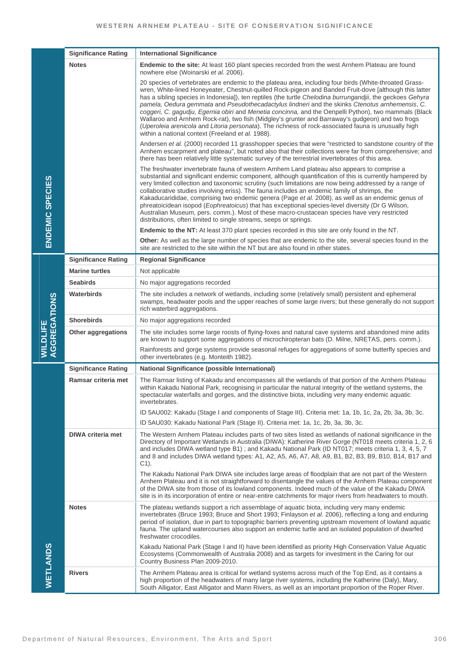|                                        | <b>Significance Rating</b> | <b>International Significance</b>                                                                                                                                                                                                                                                                                                                                                                                                                                                                                                                                                                                                                                                                                                                                                                           |
|----------------------------------------|----------------------------|-------------------------------------------------------------------------------------------------------------------------------------------------------------------------------------------------------------------------------------------------------------------------------------------------------------------------------------------------------------------------------------------------------------------------------------------------------------------------------------------------------------------------------------------------------------------------------------------------------------------------------------------------------------------------------------------------------------------------------------------------------------------------------------------------------------|
| <b>ENDEMIC SPECIES</b>                 | <b>Notes</b>               | Endemic to the site: At least 160 plant species recorded from the west Arnhem Plateau are found<br>nowhere else (Woinarski et al. 2006).                                                                                                                                                                                                                                                                                                                                                                                                                                                                                                                                                                                                                                                                    |
|                                        |                            | 20 species of vertebrates are endemic to the plateau area, including four birds (White-throated Grass-<br>wren, White-lined Honeyeater, Chestnut-quilled Rock-pigeon and Banded Fruit-dove [although this latter<br>has a sibling species in Indonesia]), ten reptiles (the turtle Chelodina burrungandjii, the geckoes Gehyra<br>pamela, Oedura gemmata and Pseudothecadactylus lindneri and the skinks Ctenotus arnhemensis, C.<br>coggeri, C. gagudju, Egernia obiri and Menetia concinna, and the Oenpelli Python), two mammals (Black<br>Wallaroo and Arnhem Rock-rat), two fish (Midgley's grunter and Barraway's gudgeon) and two frogs<br>(Uperoleia arenicola and Litoria personata). The richness of rock-associated fauna is unusually high<br>within a national context (Freeland et al. 1988). |
|                                        |                            | Andersen et al. (2000) recorded 11 grasshopper species that were "restricted to sandstone country of the<br>Arnhem escarpment and plateau", but noted also that their collections were far from comprehensive; and<br>there has been relatively little systematic survey of the terrestrial invertebrates of this area.                                                                                                                                                                                                                                                                                                                                                                                                                                                                                     |
|                                        |                            | The freshwater invertebrate fauna of western Arnhem Land plateau also appears to comprise a<br>substantial and significant endemic component, although quantification of this is currently hampered by<br>very limited collection and taxonomic scrutiny (such limitations are now being addressed by a range of<br>collaborative studies involving eriss). The fauna includes an endemic family of shrimps, the<br>Kakaducarididae, comprising two endemic genera (Page et al. 2008), as well as an endemic genus of<br>phreatoicidean isopod (Eophreatoicus) that has exceptional species-level diversity (Dr G Wilson,<br>Australian Museum, pers. comm.). Most of these macro-crustacean species have very restricted<br>distributions, often limited to single streams, seeps or springs.              |
|                                        |                            | <b>Endemic to the NT:</b> At least 370 plant species recorded in this site are only found in the NT.                                                                                                                                                                                                                                                                                                                                                                                                                                                                                                                                                                                                                                                                                                        |
|                                        |                            | Other: As well as the large number of species that are endemic to the site, several species found in the<br>site are restricted to the site within the NT but are also found in other states.                                                                                                                                                                                                                                                                                                                                                                                                                                                                                                                                                                                                               |
|                                        | <b>Significance Rating</b> | <b>Regional Significance</b>                                                                                                                                                                                                                                                                                                                                                                                                                                                                                                                                                                                                                                                                                                                                                                                |
|                                        | <b>Marine turtles</b>      | Not applicable                                                                                                                                                                                                                                                                                                                                                                                                                                                                                                                                                                                                                                                                                                                                                                                              |
|                                        | <b>Seabirds</b>            | No major aggregations recorded                                                                                                                                                                                                                                                                                                                                                                                                                                                                                                                                                                                                                                                                                                                                                                              |
|                                        | Waterbirds                 | The site includes a network of wetlands, including some (relatively small) persistent and ephemeral<br>swamps, headwater pools and the upper reaches of some large rivers; but these generally do not support<br>rich waterbird aggregations.                                                                                                                                                                                                                                                                                                                                                                                                                                                                                                                                                               |
|                                        | <b>Shorebirds</b>          | No major aggregations recorded                                                                                                                                                                                                                                                                                                                                                                                                                                                                                                                                                                                                                                                                                                                                                                              |
| <b>AGGREGATIONS</b><br><b>WILDLIFE</b> | Other aggregations         | The site includes some large roosts of flying-foxes and natural cave systems and abandoned mine adits<br>are known to support some aggregations of microchiropteran bats (D. Milne, NRETAS, pers. comm.).                                                                                                                                                                                                                                                                                                                                                                                                                                                                                                                                                                                                   |
|                                        |                            | Rainforests and gorge systems provide seasonal refuges for aggregations of some butterfly species and<br>other invertebrates (e.g. Monteith 1982).                                                                                                                                                                                                                                                                                                                                                                                                                                                                                                                                                                                                                                                          |
|                                        | <b>Significance Rating</b> | <b>National Significance (possible International)</b>                                                                                                                                                                                                                                                                                                                                                                                                                                                                                                                                                                                                                                                                                                                                                       |
|                                        | Ramsar criteria met        | The Ramsar listing of Kakadu and encompasses all the wetlands of that portion of the Arnhem Plateau<br>within Kakadu National Park, recognising in particular the natural integrity of the wetland systems, the<br>spectacular waterfalls and gorges, and the distinctive biota, including very many endemic aquatic<br>invertebrates.                                                                                                                                                                                                                                                                                                                                                                                                                                                                      |
|                                        |                            | ID 5AU002: Kakadu (Stage I and components of Stage III). Criteria met: 1a, 1b, 1c, 2a, 2b, 3a, 3b, 3c.                                                                                                                                                                                                                                                                                                                                                                                                                                                                                                                                                                                                                                                                                                      |
|                                        |                            | ID 5AU030: Kakadu National Park (Stage II). Criteria met: 1a, 1c, 2b, 3a, 3b, 3c.                                                                                                                                                                                                                                                                                                                                                                                                                                                                                                                                                                                                                                                                                                                           |
| <b>WETLANDS</b>                        | <b>DIWA criteria met</b>   | The Western Arnhem Plateau includes parts of two sites listed as wetlands of national significance in the<br>Directory of Important Wetlands in Australia (DIWA): Katherine River Gorge (NT018 meets criteria 1, 2, 6<br>and includes DIWA wetland type B1); and Kakadu National Park (ID NT017; meets criteria 1, 3, 4, 5, 7<br>and 8 and includes DIWA wetland types: A1, A2, A5, A6, A7, A8, A9, B1, B2, B3, B9, B10, B14, B17 and<br>$C1$ .                                                                                                                                                                                                                                                                                                                                                             |
|                                        |                            | The Kakadu National Park DIWA site includes large areas of floodplain that are not part of the Western<br>Arnhem Plateau and it is not straightforward to disentangle the values of the Arnhem Plateau component<br>of the DIWA site from those of its lowland components. Indeed much of the value of the Kakadu DIWA<br>site is in its incorporation of entire or near-entire catchments for major rivers from headwaters to mouth.                                                                                                                                                                                                                                                                                                                                                                       |
|                                        | <b>Notes</b>               | The plateau wetlands support a rich assemblage of aquatic biota, including very many endemic<br>invertebrates (Bruce 1993; Bruce and Short 1993; Finlayson et al. 2006), reflecting a long and enduring<br>period of isolation, due in part to topographic barriers preventing upstream movement of lowland aquatic<br>fauna. The upland watercourses also support an endemic turtle and an isolated population of dwarfed<br>freshwater crocodiles.                                                                                                                                                                                                                                                                                                                                                        |
|                                        |                            | Kakadu National Park (Stage I and II) have been identified as priority High Conservation Value Aquatic<br>Ecosystems (Commonwealth of Australia 2008) and as targets for investment in the Caring for our<br>Country Business Plan 2009-2010.                                                                                                                                                                                                                                                                                                                                                                                                                                                                                                                                                               |
|                                        | <b>Rivers</b>              | The Arnhem Plateau area is critical for wetland systems across much of the Top End, as it contains a<br>high proportion of the headwaters of many large river systems, including the Katherine (Daly), Mary,<br>South Alligator, East Alligator and Mann Rivers, as well as an important proportion of the Roper River.                                                                                                                                                                                                                                                                                                                                                                                                                                                                                     |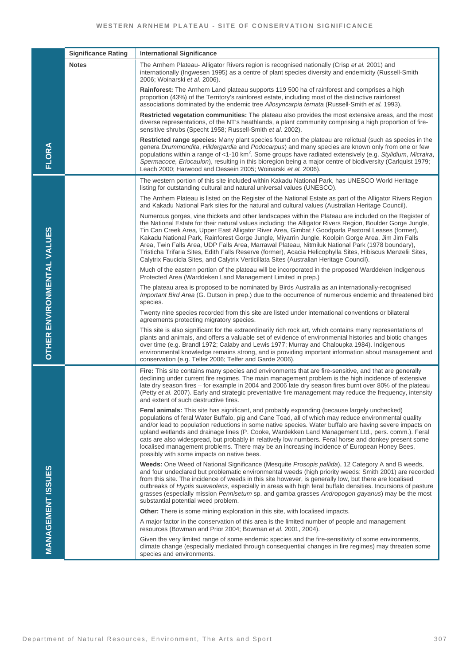|                                   | <b>Significance Rating</b> | <b>International Significance</b>                                                                                                                                                                                                                                                                                                                                                                                                                                                                                                                                                                                                                                                                                                            |
|-----------------------------------|----------------------------|----------------------------------------------------------------------------------------------------------------------------------------------------------------------------------------------------------------------------------------------------------------------------------------------------------------------------------------------------------------------------------------------------------------------------------------------------------------------------------------------------------------------------------------------------------------------------------------------------------------------------------------------------------------------------------------------------------------------------------------------|
| <b>FLORA</b>                      | <b>Notes</b>               | The Arnhem Plateau- Alligator Rivers region is recognised nationally (Crisp et al. 2001) and<br>internationally (Ingwesen 1995) as a centre of plant species diversity and endemicity (Russell-Smith<br>2006; Woinarski et al. 2006).                                                                                                                                                                                                                                                                                                                                                                                                                                                                                                        |
|                                   |                            | <b>Rainforest:</b> The Arnhem Land plateau supports 119 500 ha of rainforest and comprises a high<br>proportion (43%) of the Territory's rainforest estate, including most of the distinctive rainforest<br>associations dominated by the endemic tree Allosyncarpia ternata (Russell-Smith et al. 1993).                                                                                                                                                                                                                                                                                                                                                                                                                                    |
|                                   |                            | Restricted vegetation communities: The plateau also provides the most extensive areas, and the most<br>diverse representations, of the NT's heathlands, a plant community comprising a high proportion of fire-<br>sensitive shrubs (Specht 1958; Russell-Smith et al. 2002).                                                                                                                                                                                                                                                                                                                                                                                                                                                                |
|                                   |                            | Restricted range species: Many plant species found on the plateau are relictual (such as species in the<br>genera Drummondita, Hildergardia and Podocarpus) and many species are known only from one or few<br>populations within a range of <1-10 km <sup>2</sup> . Some groups have radiated extensively (e.g. Stylidium, Micraira,<br>Spermacoce, Eriocaulon), resulting in this bioregion being a major centre of biodiversity (Carlquist 1979;<br>Leach 2000; Harwood and Dessein 2005; Woinarski et al. 2006).                                                                                                                                                                                                                         |
|                                   |                            | The western portion of this site included within Kakadu National Park, has UNESCO World Heritage<br>listing for outstanding cultural and natural universal values (UNESCO).                                                                                                                                                                                                                                                                                                                                                                                                                                                                                                                                                                  |
|                                   |                            | The Arnhem Plateau is listed on the Register of the National Estate as part of the Alligator Rivers Region<br>and Kakadu National Park sites for the natural and cultural values (Australian Heritage Council).                                                                                                                                                                                                                                                                                                                                                                                                                                                                                                                              |
|                                   |                            | Numerous gorges, vine thickets and other landscapes within the Plateau are included on the Register of<br>the National Estate for their natural values including: the Alligator Rivers Region, Boulder Gorge Jungle,<br>Tin Can Creek Area, Upper East Alligator River Area, Gimbat / Goodparla Pastoral Leases (former),<br>Kakadu National Park, Rainforest Gorge Jungle, Miyarrin Jungle, Koolpin Gorge Area, Jim Jim Falls<br>Area, Twin Falls Area, UDP Falls Area, Marrawal Plateau, Nitmiluk National Park (1978 boundary),<br>Tristicha Trifaria Sites, Edith Falls Reserve (former), Acacia Helicophylla Sites, Hibiscus Menzelii Sites,<br>Calytrix Faucicla Sites, and Calytrix Verticillata Sites (Australian Heritage Council). |
|                                   |                            | Much of the eastern portion of the plateau will be incorporated in the proposed Warddeken Indigenous<br>Protected Area (Warddeken Land Management Limited in prep.)                                                                                                                                                                                                                                                                                                                                                                                                                                                                                                                                                                          |
|                                   |                            | The plateau area is proposed to be nominated by Birds Australia as an internationally-recognised<br>Important Bird Area (G. Dutson in prep.) due to the occurrence of numerous endemic and threatened bird<br>species.                                                                                                                                                                                                                                                                                                                                                                                                                                                                                                                       |
|                                   |                            | Twenty nine species recorded from this site are listed under international conventions or bilateral<br>agreements protecting migratory species.                                                                                                                                                                                                                                                                                                                                                                                                                                                                                                                                                                                              |
| <b>OTHER ENVIRONMENTAL VALUES</b> |                            | This site is also significant for the extraordinarily rich rock art, which contains many representations of<br>plants and animals, and offers a valuable set of evidence of environmental histories and biotic changes<br>over time (e.g. Brandl 1972; Calaby and Lewis 1977; Murray and Chaloupka 1984). Indigenous<br>environmental knowledge remains strong, and is providing important information about management and<br>conservation (e.g. Telfer 2006; Telfer and Garde 2006).                                                                                                                                                                                                                                                       |
| <b>MANAGEMENT ISSUES</b>          |                            | <b>Fire:</b> This site contains many species and environments that are fire-sensitive, and that are generally<br>declining under current fire regimes. The main management problem is the high incidence of extensive<br>late dry season fires – for example in 2004 and 2006 late dry season fires burnt over 80% of the plateau<br>(Petty et al. 2007). Early and strategic preventative fire management may reduce the frequency, intensity<br>and extent of such destructive fires.                                                                                                                                                                                                                                                      |
|                                   |                            | <b>Feral animals:</b> This site has significant, and probably expanding (because largely unchecked)<br>populations of feral Water Buffalo, pig and Cane Toad, all of which may reduce environmental quality<br>and/or lead to population reductions in some native species. Water buffalo are having severe impacts on<br>upland wetlands and drainage lines (P. Cooke, Wardekken Land Management Ltd., pers. comm.). Feral<br>cats are also widespread, but probably in relatively low numbers. Feral horse and donkey present some<br>localised management problems. There may be an increasing incidence of European Honey Bees,<br>possibly with some impacts on native bees.                                                            |
|                                   |                            | Weeds: One Weed of National Significance (Mesquite Prosopis pallida), 12 Category A and B weeds,<br>and four undeclared but problematic environmental weeds (high priority weeds: Smith 2001) are recorded<br>from this site. The incidence of weeds in this site however, is generally low, but there are localised<br>outbreaks of Hyptis suaveolens, especially in areas with high feral buffalo densities. Incursions of pasture<br>grasses (especially mission Pennisetum sp. and gamba grasses Andropogon gayanus) may be the most<br>substantial potential weed problem.                                                                                                                                                              |
|                                   |                            | <b>Other:</b> There is some mining exploration in this site, with localised impacts.                                                                                                                                                                                                                                                                                                                                                                                                                                                                                                                                                                                                                                                         |
|                                   |                            | A major factor in the conservation of this area is the limited number of people and management<br>resources (Bowman and Prior 2004; Bowman et al. 2001, 2004).                                                                                                                                                                                                                                                                                                                                                                                                                                                                                                                                                                               |
|                                   |                            | Given the very limited range of some endemic species and the fire-sensitivity of some environments,<br>climate change (especially mediated through consequential changes in fire regimes) may threaten some<br>species and environments.                                                                                                                                                                                                                                                                                                                                                                                                                                                                                                     |